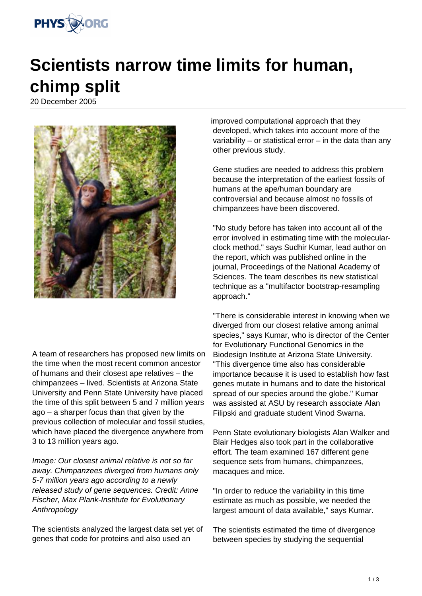

## **Scientists narrow time limits for human, chimp split**

20 December 2005



A team of researchers has proposed new limits on the time when the most recent common ancestor of humans and their closest ape relatives – the chimpanzees – lived. Scientists at Arizona State University and Penn State University have placed the time of this split between 5 and 7 million years ago – a sharper focus than that given by the previous collection of molecular and fossil studies, which have placed the divergence anywhere from 3 to 13 million years ago.

Image: Our closest animal relative is not so far away. Chimpanzees diverged from humans only 5-7 million years ago according to a newly released study of gene sequences. Credit: Anne Fischer, Max Plank-Institute for Evolutionary **Anthropology** 

The scientists analyzed the largest data set yet of genes that code for proteins and also used an

improved computational approach that they developed, which takes into account more of the variability – or statistical error – in the data than any other previous study.

Gene studies are needed to address this problem because the interpretation of the earliest fossils of humans at the ape/human boundary are controversial and because almost no fossils of chimpanzees have been discovered.

"No study before has taken into account all of the error involved in estimating time with the molecularclock method," says Sudhir Kumar, lead author on the report, which was published online in the journal, Proceedings of the National Academy of Sciences. The team describes its new statistical technique as a "multifactor bootstrap-resampling approach."

"There is considerable interest in knowing when we diverged from our closest relative among animal species," says Kumar, who is director of the Center for Evolutionary Functional Genomics in the Biodesign Institute at Arizona State University. "This divergence time also has considerable importance because it is used to establish how fast genes mutate in humans and to date the historical spread of our species around the globe." Kumar was assisted at ASU by research associate Alan Filipski and graduate student Vinod Swarna.

Penn State evolutionary biologists Alan Walker and Blair Hedges also took part in the collaborative effort. The team examined 167 different gene sequence sets from humans, chimpanzees, macaques and mice.

"In order to reduce the variability in this time estimate as much as possible, we needed the largest amount of data available," says Kumar.

The scientists estimated the time of divergence between species by studying the sequential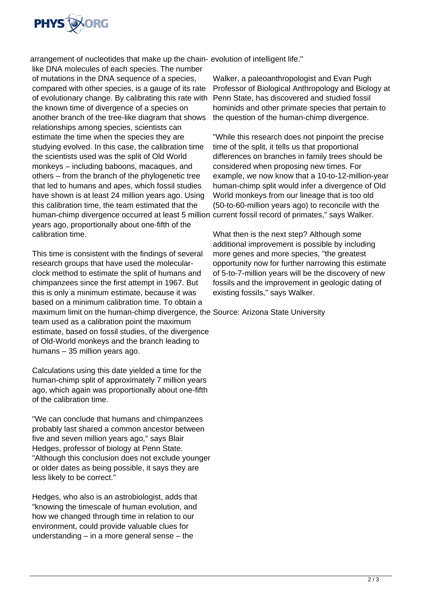

arrangement of nucleotides that make up the chain-evolution of intelligent life."

like DNA molecules of each species. The number of mutations in the DNA sequence of a species, compared with other species, is a gauge of its rate of evolutionary change. By calibrating this rate with the known time of divergence of a species on another branch of the tree-like diagram that shows relationships among species, scientists can estimate the time when the species they are studying evolved. In this case, the calibration time the scientists used was the split of Old World monkeys – including baboons, macaques, and others – from the branch of the phylogenetic tree that led to humans and apes, which fossil studies have shown is at least 24 million years ago. Using this calibration time, the team estimated that the human-chimp divergence occurred at least 5 million current fossil record of primates," says Walker. years ago, proportionally about one-fifth of the calibration time.

This time is consistent with the findings of several research groups that have used the molecularclock method to estimate the split of humans and chimpanzees since the first attempt in 1967. But this is only a minimum estimate, because it was based on a minimum calibration time. To obtain a maximum limit on the human-chimp divergence, the Source: Arizona State University team used as a calibration point the maximum estimate, based on fossil studies, of the divergence of Old-World monkeys and the branch leading to humans – 35 million years ago.

Calculations using this date yielded a time for the human-chimp split of approximately 7 million years ago, which again was proportionally about one-fifth of the calibration time.

"We can conclude that humans and chimpanzees probably last shared a common ancestor between five and seven million years ago," says Blair Hedges, professor of biology at Penn State. "Although this conclusion does not exclude younger or older dates as being possible, it says they are less likely to be correct."

Hedges, who also is an astrobiologist, adds that "knowing the timescale of human evolution, and how we changed through time in relation to our environment, could provide valuable clues for understanding – in a more general sense – the

Walker, a paleoanthropologist and Evan Pugh Professor of Biological Anthropology and Biology at Penn State, has discovered and studied fossil hominids and other primate species that pertain to the question of the human-chimp divergence.

"While this research does not pinpoint the precise time of the split, it tells us that proportional differences on branches in family trees should be considered when proposing new times. For example, we now know that a 10-to-12-million-year human-chimp split would infer a divergence of Old World monkeys from our lineage that is too old (50-to-60-million years ago) to reconcile with the

What then is the next step? Although some additional improvement is possible by including more genes and more species, "the greatest opportunity now for further narrowing this estimate of 5-to-7-million years will be the discovery of new fossils and the improvement in geologic dating of existing fossils," says Walker.